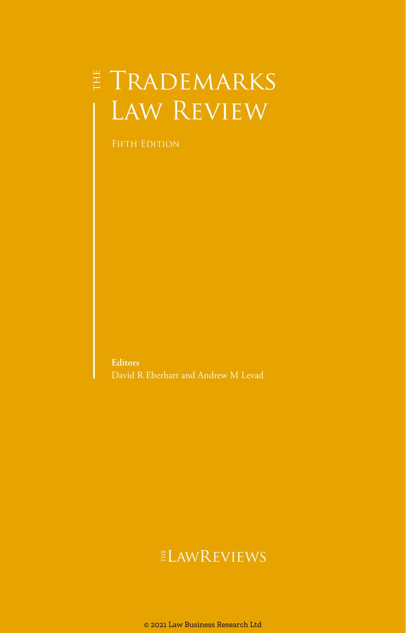# $\sharp$  Trademarks Law Review

FIFTH EDITION

**Editors** David R Eberhart and Andrew M Levad

## **ELAWREVIEWS**

© 2021 Law Business Research Ltd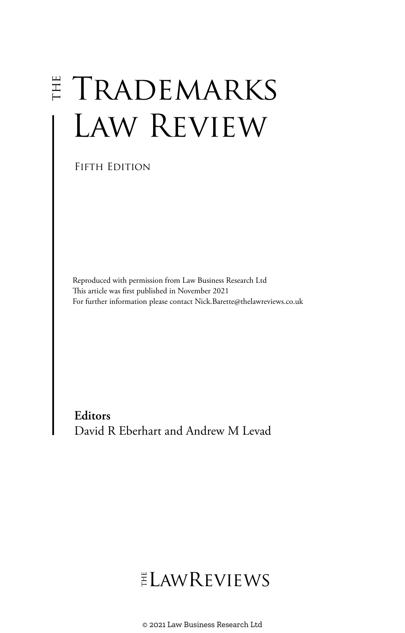# $E TRADEMARKS$ LAW REVIEW

FIFTH EDITION

Reproduced with permission from Law Business Research Ltd This article was first published in November 2021 For further information please contact Nick.Barette@thelawreviews.co.uk

**Editors** David R Eberhart and Andrew M Levad

# ELAWREVIEWS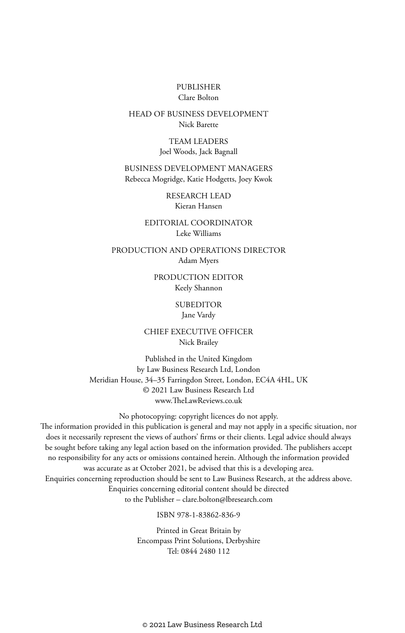#### PUBLISHER Clare Bolton

#### HEAD OF BUSINESS DEVELOPMENT Nick Barette

TEAM LEADERS Joel Woods, Jack Bagnall

BUSINESS DEVELOPMENT MANAGERS Rebecca Mogridge, Katie Hodgetts, Joey Kwok

> RESEARCH LEAD Kieran Hansen

EDITORIAL COORDINATOR Leke Williams

PRODUCTION AND OPERATIONS DIRECTOR Adam Myers

> PRODUCTION EDITOR Keely Shannon

> > **SUBEDITOR**

Jane Vardy

CHIEF EXECUTIVE OFFICER Nick Brailey

Published in the United Kingdom by Law Business Research Ltd, London Meridian House, 34–35 Farringdon Street, London, EC4A 4HL, UK © 2021 Law Business Research Ltd www.TheLawReviews.co.uk

No photocopying: copyright licences do not apply. The information provided in this publication is general and may not apply in a specific situation, nor does it necessarily represent the views of authors' firms or their clients. Legal advice should always be sought before taking any legal action based on the information provided. The publishers accept no responsibility for any acts or omissions contained herein. Although the information provided was accurate as at October 2021, be advised that this is a developing area. Enquiries concerning reproduction should be sent to Law Business Research, at the address above. Enquiries concerning editorial content should be directed to the Publisher – clare.bolton@lbresearch.com

ISBN 978-1-83862-836-9

Printed in Great Britain by Encompass Print Solutions, Derbyshire Tel: 0844 2480 112

© 2021 Law Business Research Ltd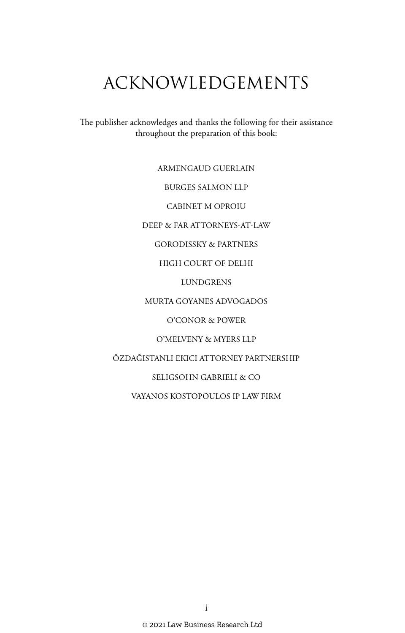# ACKNOWLEDGEMENTS

The publisher acknowledges and thanks the following for their assistance throughout the preparation of this book:

ARMENGAUD GUERLAIN

BURGES SALMON LLP

CABINET M OPROIU

DEEP & FAR ATTORNEYS-AT-LAW

GORODISSKY & PARTNERS

HIGH COURT OF DELHI

LUNDGRENS

MURTA GOYANES ADVOGADOS

O'CONOR & POWER

O'MELVENY & MYERS LLP

ÖZDAĞISTANLI EKICI ATTORNEY PARTNERSHIP

SELIGSOHN GABRIELI & CO

VAYANOS KOSTOPOULOS IP LAW FIRM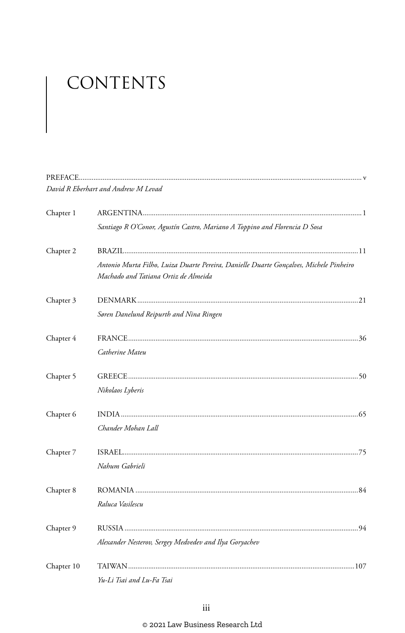# CONTENTS

|            | David R Eberhart and Andrew M Levad                                                                                            |
|------------|--------------------------------------------------------------------------------------------------------------------------------|
| Chapter 1  |                                                                                                                                |
|            | Santiago R O'Conor, Agustín Castro, Mariano A Toppino and Florencia D Sosa                                                     |
| Chapter 2  |                                                                                                                                |
|            | Antonio Murta Filho, Luiza Duarte Pereira, Danielle Duarte Gonçalves, Michele Pinheiro<br>Machado and Tatiana Ortiz de Almeida |
| Chapter 3  |                                                                                                                                |
|            | Søren Danelund Reipurth and Nina Ringen                                                                                        |
| Chapter 4  |                                                                                                                                |
|            | Catherine Mateu                                                                                                                |
| Chapter 5  |                                                                                                                                |
|            | Nikolaos Lyberis                                                                                                               |
| Chapter 6  |                                                                                                                                |
|            | Chander Mohan Lall                                                                                                             |
| Chapter 7  |                                                                                                                                |
|            | Nahum Gabrieli                                                                                                                 |
| Chapter 8  |                                                                                                                                |
|            | Raluca Vasilescu                                                                                                               |
| Chapter 9  |                                                                                                                                |
|            | Alexander Nesterov, Sergey Medvedev and Ilya Goryachev                                                                         |
| Chapter 10 |                                                                                                                                |
|            | Yu-Li Tsai and Lu-Fa Tsai                                                                                                      |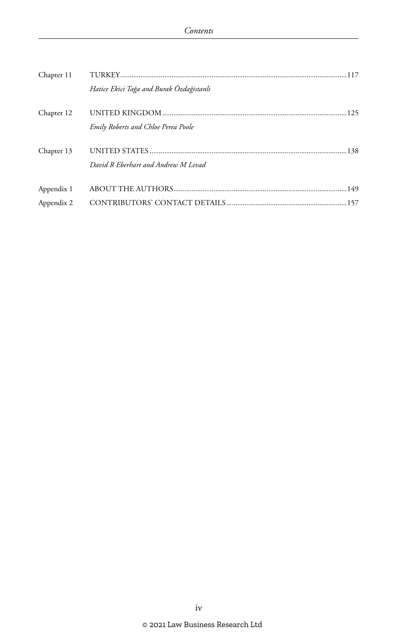| Chapter 11 |                                            |  |
|------------|--------------------------------------------|--|
|            | Hatice Ekici Tağa and Burak Özdağistanli   |  |
| Chapter 12 | <b>Emily Roberts and Chloe Perea Poole</b> |  |
| Chapter 13 | David R Eberhart and Andrew M Levad        |  |
| Appendix 1 |                                            |  |
| Appendix 2 |                                            |  |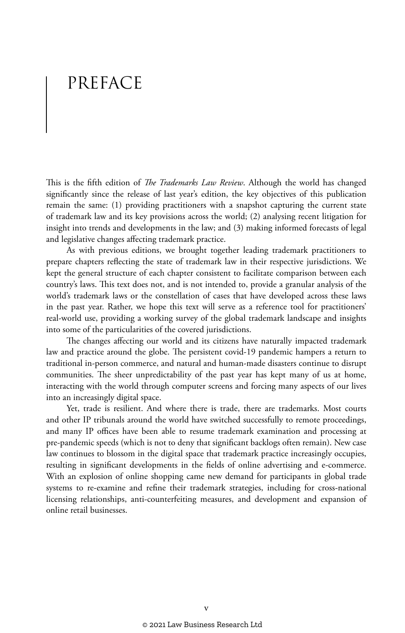# PREFACE

This is the fifth edition of *The Trademarks Law Review*. Although the world has changed significantly since the release of last year's edition, the key objectives of this publication remain the same: (1) providing practitioners with a snapshot capturing the current state of trademark law and its key provisions across the world; (2) analysing recent litigation for insight into trends and developments in the law; and (3) making informed forecasts of legal and legislative changes affecting trademark practice.

As with previous editions, we brought together leading trademark practitioners to prepare chapters reflecting the state of trademark law in their respective jurisdictions. We kept the general structure of each chapter consistent to facilitate comparison between each country's laws. This text does not, and is not intended to, provide a granular analysis of the world's trademark laws or the constellation of cases that have developed across these laws in the past year. Rather, we hope this text will serve as a reference tool for practitioners' real-world use, providing a working survey of the global trademark landscape and insights into some of the particularities of the covered jurisdictions.

The changes affecting our world and its citizens have naturally impacted trademark law and practice around the globe. The persistent covid-19 pandemic hampers a return to traditional in-person commerce, and natural and human-made disasters continue to disrupt communities. The sheer unpredictability of the past year has kept many of us at home, interacting with the world through computer screens and forcing many aspects of our lives into an increasingly digital space.

Yet, trade is resilient. And where there is trade, there are trademarks. Most courts and other IP tribunals around the world have switched successfully to remote proceedings, and many IP offices have been able to resume trademark examination and processing at pre-pandemic speeds (which is not to deny that significant backlogs often remain). New case law continues to blossom in the digital space that trademark practice increasingly occupies, resulting in significant developments in the fields of online advertising and e-commerce. With an explosion of online shopping came new demand for participants in global trade systems to re-examine and refine their trademark strategies, including for cross-national licensing relationships, anti-counterfeiting measures, and development and expansion of online retail businesses.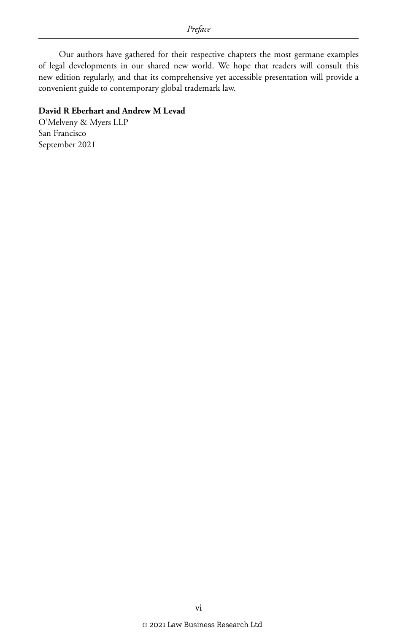Our authors have gathered for their respective chapters the most germane examples of legal developments in our shared new world. We hope that readers will consult this new edition regularly, and that its comprehensive yet accessible presentation will provide a convenient guide to contemporary global trademark law.

#### **David R Eberhart and Andrew M Levad**

O'Melveny & Myers LLP San Francisco September 2021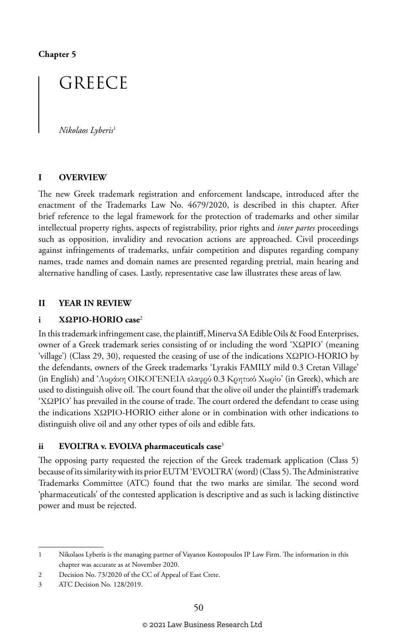**Chapter 5**

## GREECE

*Nikolaos Lyberis*<sup>1</sup>

#### **I OVERVIEW**

The new Greek trademark registration and enforcement landscape, introduced after the enactment of the Trademarks Law No. 4679/2020, is described in this chapter. After brief reference to the legal framework for the protection of trademarks and other similar intellectual property rights, aspects of registrability, prior rights and *inter partes* proceedings such as opposition, invalidity and revocation actions are approached. Civil proceedings against infringements of trademarks, unfair competition and disputes regarding company names, trade names and domain names are presented regarding pretrial, main hearing and alternative handling of cases. Lastly, representative case law illustrates these areas of law.

#### **II YEAR IN REVIEW**

#### **i ΧΩΡΙΟ-HORIO case**<sup>2</sup>

In this trademark infringement case, the plaintiff, Minerva SA Edible Oils & Food Enterprises, owner of a Greek trademark series consisting of or including the word 'ΧΩΡΙΟ' (meaning 'village') (Class 29, 30), requested the ceasing of use of the indications ΧΩΡΙΟ-HORIO by the defendants, owners of the Greek trademarks 'Lyrakis FAMILY mild 0.3 Cretan Village' (in English) and 'Λυράκη ΟΙΚΟΓΕΝΕΙΑ ελαφρύ 0.3 Κρητικό Χωρίο' (in Greek), which are used to distinguish olive oil. The court found that the olive oil under the plaintiff's trademark 'ΧΩΡΙΟ' has prevailed in the course of trade. The court ordered the defendant to cease using the indications ΧΩΡΙΟ-HORIO either alone or in combination with other indications to distinguish olive oil and any other types of oils and edible fats.

#### **ii EVOLTRA v. EVOLVA pharmaceuticals case**<sup>3</sup>

The opposing party requested the rejection of the Greek trademark application (Class 5) because of its similarity with its prior EUTM 'EVOLTRA' (word) (Class 5). The Administrative Trademarks Committee (ATC) found that the two marks are similar. The second word 'pharmaceuticals' of the contested application is descriptive and as such is lacking distinctive power and must be rejected.

<sup>1</sup> Nikolaos Lyberis is the managing partner of Vayanos Kostopoulos IP Law Firm. The information in this chapter was accurate as at November 2020.

<sup>2</sup> Decision No. 73/2020 of the CC of Appeal of East Crete.

<sup>3</sup> ATC Decision No. 128/2019.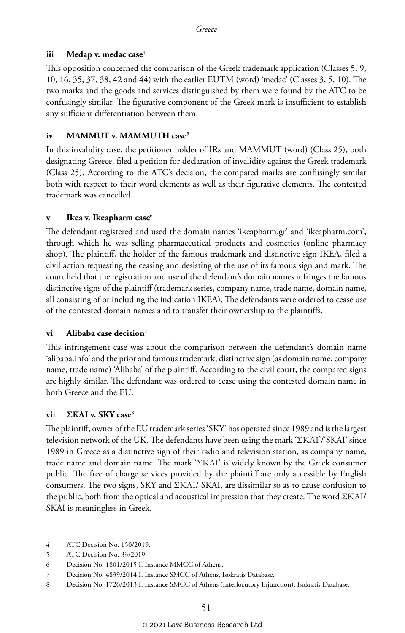#### **iii Medap v. medac case**<sup>4</sup>

This opposition concerned the comparison of the Greek trademark application (Classes 5, 9, 10, 16, 35, 37, 38, 42 and 44) with the earlier EUTM (word) 'medac' (Classes 3, 5, 10). The two marks and the goods and services distinguished by them were found by the ATC to be confusingly similar. The figurative component of the Greek mark is insufficient to establish any sufficient differentiation between them.

#### **iv MAMMUT v. MAMMUTH case**<sup>5</sup>

In this invalidity case, the petitioner holder of IRs and MAMMUT (word) (Class 25), both designating Greece, filed a petition for declaration of invalidity against the Greek trademark (Class 25). According to the ATC's decision, the compared marks are confusingly similar both with respect to their word elements as well as their figurative elements. The contested trademark was cancelled.

#### **Ikea v. Ikeapharm case**<sup>6</sup>

The defendant registered and used the domain names 'ikeapharm.gr' and 'ikeapharm.com', through which he was selling pharmaceutical products and cosmetics (online pharmacy shop). The plaintiff, the holder of the famous trademark and distinctive sign IKEA, filed a civil action requesting the ceasing and desisting of the use of its famous sign and mark. The court held that the registration and use of the defendant's domain names infringes the famous distinctive signs of the plaintiff (trademark series, company name, trade name, domain name, all consisting of or including the indication IKEA). The defendants were ordered to cease use of the contested domain names and to transfer their ownership to the plaintiffs.

#### **vi Alibaba case decision**<sup>7</sup>

This infringement case was about the comparison between the defendant's domain name 'alibaba.info' and the prior and famous trademark, distinctive sign (as domain name, company name, trade name) 'Alibaba' of the plaintiff. According to the civil court, the compared signs are highly similar. The defendant was ordered to cease using the contested domain name in both Greece and the EU.

#### **vii ΣΚΑΙ v. SKY case**<sup>8</sup>

The plaintiff, owner of the EU trademark series 'SKY' has operated since 1989 and is the largest television network of the UK. The defendants have been using the mark 'ΣΚΑΙ'/'SKAI' since 1989 in Greece as a distinctive sign of their radio and television station, as company name, trade name and domain name. The mark 'ΣΚΑΙ' is widely known by the Greek consumer public. The free of charge services provided by the plaintiff are only accessible by English consumers. The two signs, SKY and ΣΚΑΙ/ SKAI, are dissimilar so as to cause confusion to the public, both from the optical and acoustical impression that they create. The word ΣΚΑΙ/ SKAI is meaningless in Greek.

<sup>4</sup> ATC Decision No. 150/2019.

<sup>5</sup> ATC Decision No. 33/2019.

<sup>6</sup> Decision No. 1801/2015 I. Instance MMCC of Athens.

<sup>7</sup> Decision No. 4839/2014 I. Instance SMCC of Athens, Isokratis Database.

<sup>8</sup> Decision No. 1726/2013 I. Instance SMCC of Athens (Interlocutory Injunction), Isokratis Database.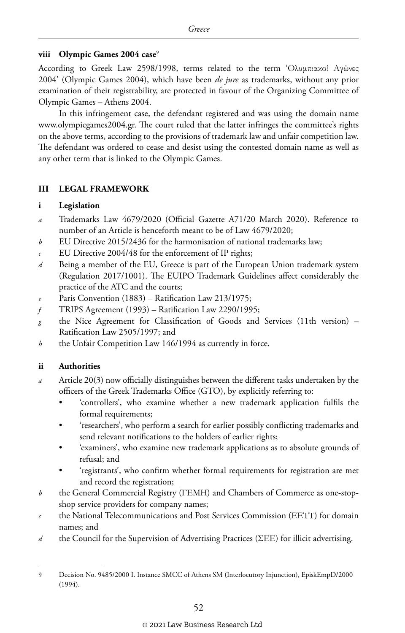#### **viii Olympic Games 2004 case**<sup>9</sup>

According to Greek Law 2598/1998, terms related to the term 'Ολυμπιακοί Αγώνες 2004' (Olympic Games 2004), which have been *de jure* as trademarks, without any prior examination of their registrability, are protected in favour of the Organizing Committee of Olympic Games – Athens 2004.

In this infringement case, the defendant registered and was using the domain name www.olympicgames2004.gr. The court ruled that the latter infringes the committee's rights on the above terms, according to the provisions of trademark law and unfair competition law. The defendant was ordered to cease and desist using the contested domain name as well as any other term that is linked to the Olympic Games.

#### **III LEGAL FRAMEWORK**

#### **i Legislation**

- *a* Trademarks Law 4679/2020 (Official Gazette A71/20 March 2020). Reference to number of an Article is henceforth meant to be of Law 4679/2020;
- *b* EU Directive 2015/2436 for the harmonisation of national trademarks law;
- *c* EU Directive 2004/48 for the enforcement of IP rights;
- *d* Being a member of the EU, Greece is part of the European Union trademark system (Regulation 2017/1001). The EUIPO Trademark Guidelines affect considerably the practice of the ATC and the courts;
- Paris Convention (1883) Ratification Law 213/1975;
- *f* TRIPS Agreement (1993) Ratification Law 2290/1995;
- *g* the Nice Agreement for Classification of Goods and Services (11th version) Ratification Law 2505/1997; and
- *h* the Unfair Competition Law 146/1994 as currently in force.

#### **ii Authorities**

- *a* Article 20(3) now officially distinguishes between the different tasks undertaken by the officers of the Greek Trademarks Office (GTO), by explicitly referring to:
	- 'controllers', who examine whether a new trademark application fulfils the formal requirements;
	- 'researchers', who perform a search for earlier possibly conflicting trademarks and send relevant notifications to the holders of earlier rights;
	- 'examiners', who examine new trademark applications as to absolute grounds of refusal; and
	- 'registrants', who confirm whether formal requirements for registration are met and record the registration;
- *b* the General Commercial Registry (ΓΕΜΗ) and Chambers of Commerce as one-stopshop service providers for company names;
- *c* the National Telecommunications and Post Services Commission (ΕΕΤΤ) for domain names; and
- *d* the Council for the Supervision of Advertising Practices (ΣΕΕ) for illicit advertising.

<sup>9</sup> Decision No. 9485/2000 I. Instance SMCC of Athens SM (Interlocutory Injunction), EpiskEmpD/2000 (1994).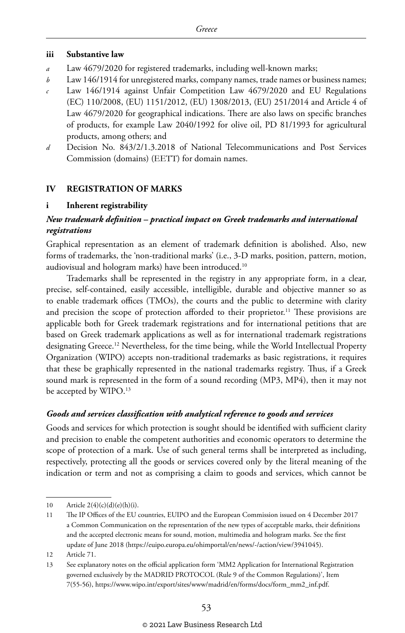#### **iii Substantive law**

- *a* Law 4679/2020 for registered trademarks, including well-known marks;
- *b* Law 146/1914 for unregistered marks, company names, trade names or business names;
- *c* Law 146/1914 against Unfair Competition Law 4679/2020 and EU Regulations (EC) 110/2008, (EU) 1151/2012, (EU) 1308/2013, (EU) 251/2014 and Article 4 of Law 4679/2020 for geographical indications. There are also laws on specific branches of products, for example Law 2040/1992 for olive oil, PD 81/1993 for agricultural products, among others; and
- *d* Decision No. 843/2/1.3.2018 of National Telecommunications and Post Services Commission (domains) (ΕΕΤΤ) for domain names.

#### **IV REGISTRATION OF MARKS**

#### **i Inherent registrability**

#### *New trademark definition – practical impact on Greek trademarks and international registrations*

Graphical representation as an element of trademark definition is abolished. Also, new forms of trademarks, the 'non-traditional marks' (i.e., 3-D marks, position, pattern, motion, audiovisual and hologram marks) have been introduced.10

Trademarks shall be represented in the registry in any appropriate form, in a clear, precise, self-contained, easily accessible, intelligible, durable and objective manner so as to enable trademark offices (TMOs), the courts and the public to determine with clarity and precision the scope of protection afforded to their proprietor.<sup>11</sup> These provisions are applicable both for Greek trademark registrations and for international petitions that are based on Greek trademark applications as well as for international trademark registrations designating Greece.12 Nevertheless, for the time being, while the World Intellectual Property Organization (WIPO) accepts non-traditional trademarks as basic registrations, it requires that these be graphically represented in the national trademarks registry. Thus, if a Greek sound mark is represented in the form of a sound recording (MP3, MP4), then it may not be accepted by WIPO.<sup>13</sup>

#### *Goods and services classification with analytical reference to goods and services*

Goods and services for which protection is sought should be identified with sufficient clarity and precision to enable the competent authorities and economic operators to determine the scope of protection of a mark. Use of such general terms shall be interpreted as including, respectively, protecting all the goods or services covered only by the literal meaning of the indication or term and not as comprising a claim to goods and services, which cannot be

<sup>10</sup> Article  $2(4)(c)(d)(e)(h)(i)$ .

<sup>11</sup> The IP Offices of the EU countries, EUIPO and the European Commission issued on 4 December 2017 a Common Communication on the representation of the new types of acceptable marks, their definitions and the accepted electronic means for sound, motion, multimedia and hologram marks. See the first update of June 2018 (https://euipo.europa.eu/ohimportal/en/news/-/action/view/3941045).

<sup>12</sup> Article 71.

<sup>13</sup> See explanatory notes on the official application form 'MM2 Application for International Registration governed exclusively by the MADRID PROTOCOL (Rule 9 of the Common Regulations)', Item 7(55-56), https://www.wipo.int/export/sites/www/madrid/en/forms/docs/form\_mm2\_inf.pdf.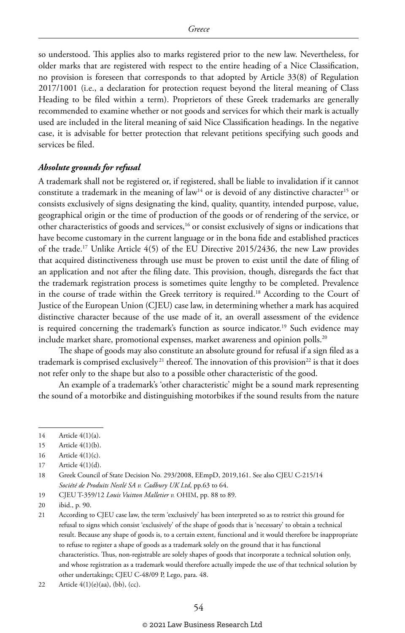so understood. This applies also to marks registered prior to the new law. Nevertheless, for older marks that are registered with respect to the entire heading of a Nice Classification, no provision is foreseen that corresponds to that adopted by Article 33(8) of Regulation 2017/1001 (i.e., a declaration for protection request beyond the literal meaning of Class Heading to be filed within a term). Proprietors of these Greek trademarks are generally recommended to examine whether or not goods and services for which their mark is actually used are included in the literal meaning of said Nice Classification headings. In the negative case, it is advisable for better protection that relevant petitions specifying such goods and services be filed.

#### *Absolute grounds for refusal*

A trademark shall not be registered or, if registered, shall be liable to invalidation if it cannot constitute a trademark in the meaning of law<sup>14</sup> or is devoid of any distinctive character<sup>15</sup> or consists exclusively of signs designating the kind, quality, quantity, intended purpose, value, geographical origin or the time of production of the goods or of rendering of the service, or other characteristics of goods and services,16 or consist exclusively of signs or indications that have become customary in the current language or in the bona fide and established practices of the trade.17 Unlike Article 4(5) of the EU Directive 2015/2436, the new Law provides that acquired distinctiveness through use must be proven to exist until the date of filing of an application and not after the filing date. This provision, though, disregards the fact that the trademark registration process is sometimes quite lengthy to be completed. Prevalence in the course of trade within the Greek territory is required.18 According to the Court of Justice of the European Union (CJEU) case law, in determining whether a mark has acquired distinctive character because of the use made of it, an overall assessment of the evidence is required concerning the trademark's function as source indicator.<sup>19</sup> Such evidence may include market share, promotional expenses, market awareness and opinion polls.<sup>20</sup>

The shape of goods may also constitute an absolute ground for refusal if a sign filed as a trademark is comprised exclusively<sup>21</sup> thereof. The innovation of this provision<sup>22</sup> is that it does not refer only to the shape but also to a possible other characteristic of the good.

An example of a trademark's 'other characteristic' might be a sound mark representing the sound of a motorbike and distinguishing motorbikes if the sound results from the nature

16 Article 4(1)(c).

19 CJEU T-359/12 *Louis Vuitton Malletier v.* ΟΗΙΜ, pp. 88 to 89.

<sup>14</sup> Article 4(1)(a).

<sup>15</sup> Article 4(1)(b).

<sup>17</sup> Article 4(1)(d).

<sup>18</sup> Greek Council of State Decision No. 293/2008, EEmpD, 2019,161. See also CJEU C-215/14 *Société de Produits Nestlé SA v. Cadbury UK Ltd*, pp.63 to 64.

<sup>20</sup> ibid., p. 90.

<sup>21</sup> According to CJEU case law, the term 'exclusively' has been interpreted so as to restrict this ground for refusal to signs which consist 'exclusively' of the shape of goods that is 'necessary' to obtain a technical result. Because any shape of goods is, to a certain extent, functional and it would therefore be inappropriate to refuse to register a shape of goods as a trademark solely on the ground that it has functional characteristics. Thus, non-registrable are solely shapes of goods that incorporate a technical solution only, and whose registration as a trademark would therefore actually impede the use of that technical solution by other undertakings; CJEU C-48/09 P, Lego, para. 48.

<sup>22</sup> Article  $4(1)(e)(aa)$ ,  $(bb)$ ,  $(cc)$ .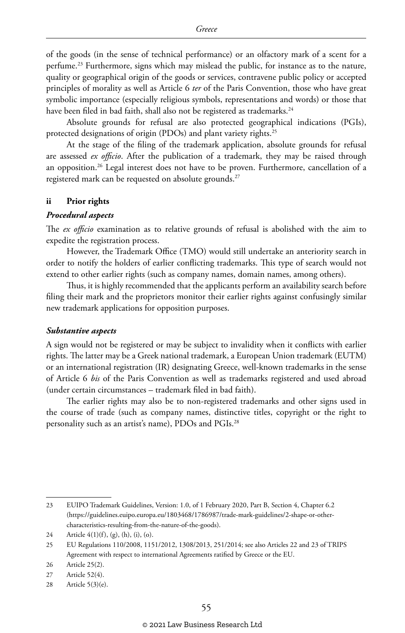of the goods (in the sense of technical performance) or an olfactory mark of a scent for a perfume.23 Furthermore, signs which may mislead the public, for instance as to the nature, quality or geographical origin of the goods or services, contravene public policy or accepted principles of morality as well as Article 6 *ter* of the Paris Convention, those who have great symbolic importance (especially religious symbols, representations and words) or those that have been filed in bad faith, shall also not be registered as trademarks.<sup>24</sup>

Absolute grounds for refusal are also protected geographical indications (PGIs), protected designations of origin (PDOs) and plant variety rights.<sup>25</sup>

At the stage of the filing of the trademark application, absolute grounds for refusal are assessed *ex officio*. After the publication of a trademark, they may be raised through an opposition.<sup>26</sup> Legal interest does not have to be proven. Furthermore, cancellation of a registered mark can be requested on absolute grounds.<sup>27</sup>

#### **ii Prior rights**

#### *Procedural aspects*

The *ex officio* examination as to relative grounds of refusal is abolished with the aim to expedite the registration process.

However, the Trademark Office (TMO) would still undertake an anteriority search in order to notify the holders of earlier conflicting trademarks. This type of search would not extend to other earlier rights (such as company names, domain names, among others).

Thus, it is highly recommended that the applicants perform an availability search before filing their mark and the proprietors monitor their earlier rights against confusingly similar new trademark applications for opposition purposes.

#### *Substantive aspects*

A sign would not be registered or may be subject to invalidity when it conflicts with earlier rights. The latter may be a Greek national trademark, a European Union trademark (EUTM) or an international registration (IR) designating Greece, well-known trademarks in the sense of Article 6 *bis* of the Paris Convention as well as trademarks registered and used abroad (under certain circumstances – trademark filed in bad faith).

The earlier rights may also be to non-registered trademarks and other signs used in the course of trade (such as company names, distinctive titles, copyright or the right to personality such as an artist's name), PDOs and PGIs.28

<sup>23</sup> EUIPO Trademark Guidelines, Version: 1.0, of 1 February 2020, Part B, Section 4, Chapter 6.2 (https://guidelines.euipo.europa.eu/1803468/1786987/trade-mark-guidelines/2-shape-or-othercharacteristics-resulting-from-the-nature-of-the-goods).

<sup>24</sup> Article 4(1)(f), (g), (h), (i), (o).

<sup>25</sup> EU Regulations 110/2008, 1151/2012, 1308/2013, 251/2014; see also Articles 22 and 23 of TRIPS Agreement with respect to international Agreements ratified by Greece or the EU.

<sup>26</sup> Article 25(2).

<sup>27</sup> Article 52(4).

<sup>28</sup> Article 5(3)(e).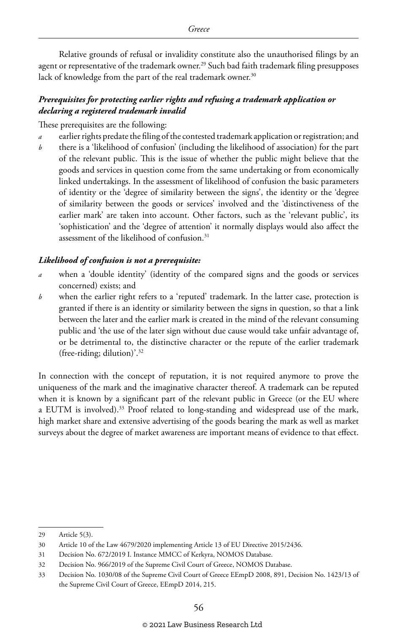Relative grounds of refusal or invalidity constitute also the unauthorised filings by an agent or representative of the trademark owner.29 Such bad faith trademark filing presupposes lack of knowledge from the part of the real trademark owner.<sup>30</sup>

#### *Prerequisites for protecting earlier rights and refusing a trademark application or declaring a registered trademark invalid*

These prerequisites are the following:

- *a* earlier rights predate the filing of the contested trademark application or registration; and
- *b* there is a 'likelihood of confusion' (including the likelihood of association) for the part of the relevant public. This is the issue of whether the public might believe that the goods and services in question come from the same undertaking or from economically linked undertakings. In the assessment of likelihood of confusion the basic parameters of identity or the 'degree of similarity between the signs', the identity or the 'degree of similarity between the goods or services' involved and the 'distinctiveness of the earlier mark' are taken into account. Other factors, such as the 'relevant public', its 'sophistication' and the 'degree of attention' it normally displays would also affect the assessment of the likelihood of confusion.<sup>31</sup>

#### *Likelihood of confusion is not a prerequisite:*

- *a* when a 'double identity' (identity of the compared signs and the goods or services concerned) exists; and
- *b* when the earlier right refers to a 'reputed' trademark. In the latter case, protection is granted if there is an identity or similarity between the signs in question, so that a link between the later and the earlier mark is created in the mind of the relevant consuming public and 'the use of the later sign without due cause would take unfair advantage of, or be detrimental to, the distinctive character or the repute of the earlier trademark (free-riding; dilution)'.32

In connection with the concept of reputation, it is not required anymore to prove the uniqueness of the mark and the imaginative character thereof. A trademark can be reputed when it is known by a significant part of the relevant public in Greece (or the EU where a EUTM is involved).<sup>33</sup> Proof related to long-standing and widespread use of the mark, high market share and extensive advertising of the goods bearing the mark as well as market surveys about the degree of market awareness are important means of evidence to that effect.

<sup>29</sup> Article 5(3).

<sup>30</sup> Article 10 of the Law 4679/2020 implementing Article 13 of EU Directive 2015/2436.

<sup>31</sup> Decision No. 672/2019 I. Instance MMCC of Kerkyra, NOMOS Database.

<sup>32</sup> Decision No. 966/2019 of the Supreme Civil Court of Greece, NOMOS Database.

<sup>33</sup> Decision No. 1030/08 of the Supreme Civil Court of Greece EEmpD 2008, 891, Decision No. 1423/13 of the Supreme Civil Court of Greece, EEmpD 2014, 215.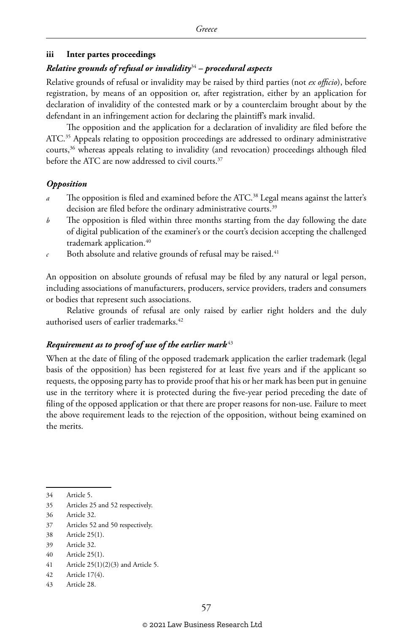#### **iii Inter partes proceedings**

#### *Relative grounds of refusal or invalidity*<sup>34</sup> *– procedural aspects*

Relative grounds of refusal or invalidity may be raised by third parties (not *ex officio*), before registration, by means of an opposition or, after registration, either by an application for declaration of invalidity of the contested mark or by a counterclaim brought about by the defendant in an infringement action for declaring the plaintiff's mark invalid.

The opposition and the application for a declaration of invalidity are filed before the ATC.<sup>35</sup> Appeals relating to opposition proceedings are addressed to ordinary administrative courts,36 whereas appeals relating to invalidity (and revocation) proceedings although filed before the ATC are now addressed to civil courts.37

#### *Opposition*

- *a* The opposition is filed and examined before the ATC.<sup>38</sup> Legal means against the latter's decision are filed before the ordinary administrative courts.<sup>39</sup>
- *b* The opposition is filed within three months starting from the day following the date of digital publication of the examiner's or the court's decision accepting the challenged trademark application.<sup>40</sup>
- $c$  Both absolute and relative grounds of refusal may be raised.<sup>41</sup>

An opposition on absolute grounds of refusal may be filed by any natural or legal person, including associations of manufacturers, producers, service providers, traders and consumers or bodies that represent such associations.

Relative grounds of refusal are only raised by earlier right holders and the duly authorised users of earlier trademarks.<sup>42</sup>

#### *Requirement as to proof of use of the earlier mark* <sup>43</sup>

When at the date of filing of the opposed trademark application the earlier trademark (legal basis of the opposition) has been registered for at least five years and if the applicant so requests, the opposing party has to provide proof that his or her mark has been put in genuine use in the territory where it is protected during the five-year period preceding the date of filing of the opposed application or that there are proper reasons for non-use. Failure to meet the above requirement leads to the rejection of the opposition, without being examined on the merits.

<sup>34</sup> Article 5.

<sup>35</sup> Articles 25 and 52 respectively.

<sup>36</sup> Article 32.

<sup>37</sup> Articles 52 and 50 respectively.

<sup>38</sup> Article 25(1).

<sup>39</sup> Article 32.

<sup>40</sup> Article 25(1).

<sup>41</sup> Article 25(1)(2)(3) and Article 5.

<sup>42</sup> Article 17(4).

<sup>43</sup> Article 28.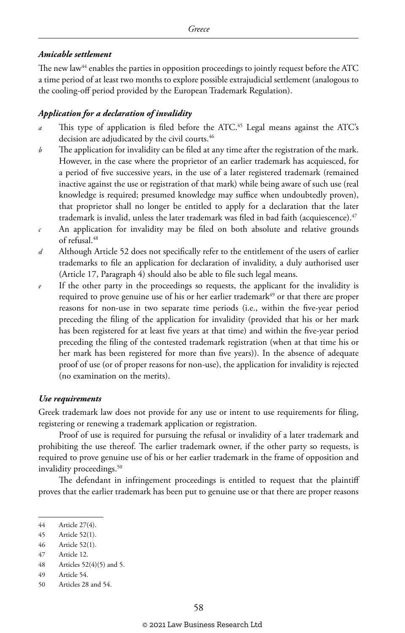#### *Amicable settlement*

The new law<sup>44</sup> enables the parties in opposition proceedings to jointly request before the ATC a time period of at least two months to explore possible extrajudicial settlement (analogous to the cooling-off period provided by the European Trademark Regulation).

#### *Application for a declaration of invalidity*

- *a* This type of application is filed before the ATC.<sup>45</sup> Legal means against the ATC's decision are adjudicated by the civil courts.<sup>46</sup>
- *b* The application for invalidity can be filed at any time after the registration of the mark. However, in the case where the proprietor of an earlier trademark has acquiesced, for a period of five successive years, in the use of a later registered trademark (remained inactive against the use or registration of that mark) while being aware of such use (real knowledge is required; presumed knowledge may suffice when undoubtedly proven), that proprietor shall no longer be entitled to apply for a declaration that the later trademark is invalid, unless the later trademark was filed in bad faith (acquiescence). $47$
- *c* An application for invalidity may be filed on both absolute and relative grounds of refusal.48
- *d* Although Article 52 does not specifically refer to the entitlement of the users of earlier trademarks to file an application for declaration of invalidity, a duly authorised user (Article 17, Paragraph 4) should also be able to file such legal means.
- *e* If the other party in the proceedings so requests, the applicant for the invalidity is required to prove genuine use of his or her earlier trademark $49$  or that there are proper reasons for non-use in two separate time periods (i.e., within the five-year period preceding the filing of the application for invalidity (provided that his or her mark has been registered for at least five years at that time) and within the five-year period preceding the filing of the contested trademark registration (when at that time his or her mark has been registered for more than five years)). In the absence of adequate proof of use (or of proper reasons for non-use), the application for invalidity is rejected (no examination on the merits).

#### *Use requirements*

Greek trademark law does not provide for any use or intent to use requirements for filing, registering or renewing a trademark application or registration.

Proof of use is required for pursuing the refusal or invalidity of a later trademark and prohibiting the use thereof. The earlier trademark owner, if the other party so requests, is required to prove genuine use of his or her earlier trademark in the frame of opposition and invalidity proceedings.<sup>50</sup>

The defendant in infringement proceedings is entitled to request that the plaintiff proves that the earlier trademark has been put to genuine use or that there are proper reasons

<sup>44</sup> Article 27(4).

<sup>45</sup> Article 52(1).

<sup>46</sup> Article 52(1).

<sup>47</sup> Article 12.

<sup>48</sup> Articles 52(4)(5) and 5.

<sup>49</sup> Article 54.

<sup>50</sup> Articles 28 and 54.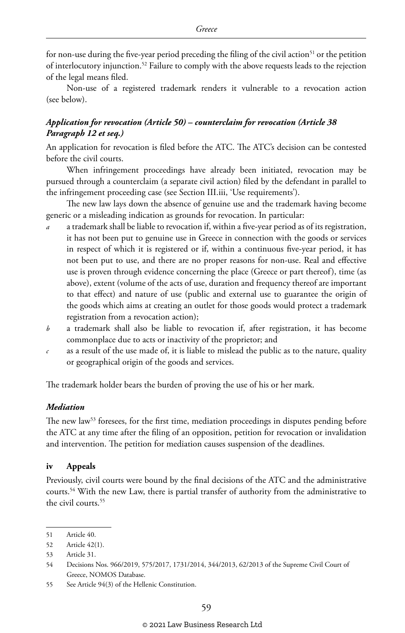for non-use during the five-year period preceding the filing of the civil action<sup>51</sup> or the petition of interlocutory injunction.52 Failure to comply with the above requests leads to the rejection of the legal means filed.

Non-use of a registered trademark renders it vulnerable to a revocation action (see below).

#### *Application for revocation (Article 50) – counterclaim for revocation (Article 38 Paragraph 12 et seq.)*

An application for revocation is filed before the ATC. The ATC's decision can be contested before the civil courts.

When infringement proceedings have already been initiated, revocation may be pursued through a counterclaim (a separate civil action) filed by the defendant in parallel to the infringement proceeding case (see Section III.iii, 'Use requirements').

The new law lays down the absence of genuine use and the trademark having become generic or a misleading indication as grounds for revocation. In particular:

- *a* a trademark shall be liable to revocation if, within a five-year period as of its registration, it has not been put to genuine use in Greece in connection with the goods or services in respect of which it is registered or if, within a continuous five-year period, it has not been put to use, and there are no proper reasons for non-use. Real and effective use is proven through evidence concerning the place (Greece or part thereof), time (as above), extent (volume of the acts of use, duration and frequency thereof are important to that effect) and nature of use (public and external use to guarantee the origin of the goods which aims at creating an outlet for those goods would protect a trademark registration from a revocation action);
- *b* a trademark shall also be liable to revocation if, after registration, it has become commonplace due to acts or inactivity of the proprietor; and
- *c* as a result of the use made of, it is liable to mislead the public as to the nature, quality or geographical origin of the goods and services.

The trademark holder bears the burden of proving the use of his or her mark.

#### *Mediation*

The new law<sup>53</sup> foresees, for the first time, mediation proceedings in disputes pending before the ATC at any time after the filing of an opposition, petition for revocation or invalidation and intervention. The petition for mediation causes suspension of the deadlines.

#### **iv Appeals**

Previously, civil courts were bound by the final decisions of the ATC and the administrative courts.54 With the new Law, there is partial transfer of authority from the administrative to the civil courts.55

<sup>51</sup> Article 40.

<sup>52</sup> Article 42(1).

<sup>53</sup> Article 31.

<sup>54</sup> Decisions Nos. 966/2019, 575/2017, 1731/2014, 344/2013, 62/2013 of the Supreme Civil Court of Greece, NOMOS Database.

<sup>55</sup> See Article 94(3) of the Hellenic Constitution.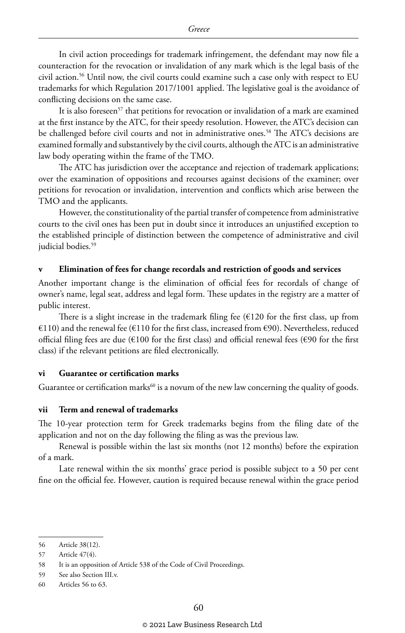In civil action proceedings for trademark infringement, the defendant may now file a counteraction for the revocation or invalidation of any mark which is the legal basis of the civil action.56 Until now, the civil courts could examine such a case only with respect to EU trademarks for which Regulation 2017/1001 applied. The legislative goal is the avoidance of conflicting decisions on the same case.

It is also foreseen<sup>57</sup> that petitions for revocation or invalidation of a mark are examined at the first instance by the ATC, for their speedy resolution. However, the ATC's decision can be challenged before civil courts and not in administrative ones.<sup>58</sup> The ATC's decisions are examined formally and substantively by the civil courts, although the ATC is an administrative law body operating within the frame of the TMO.

The ATC has jurisdiction over the acceptance and rejection of trademark applications; over the examination of oppositions and recourses against decisions of the examiner; over petitions for revocation or invalidation, intervention and conflicts which arise between the TMO and the applicants.

However, the constitutionality of the partial transfer of competence from administrative courts to the civil ones has been put in doubt since it introduces an unjustified exception to the established principle of distinction between the competence of administrative and civil judicial bodies.<sup>59</sup>

#### **v Elimination of fees for change recordals and restriction of goods and services**

Another important change is the elimination of official fees for recordals of change of owner's name, legal seat, address and legal form. These updates in the registry are a matter of public interest.

There is a slight increase in the trademark filing fee  $(E120)$  for the first class, up from €110) and the renewal fee (€110 for the first class, increased from €90). Nevertheless, reduced official filing fees are due ( $\epsilon$ 100 for the first class) and official renewal fees ( $\epsilon$ 90 for the first class) if the relevant petitions are filed electronically.

#### **vi Guarantee or certification marks**

Guarantee or certification marks<sup>60</sup> is a novum of the new law concerning the quality of goods.

#### **vii Term and renewal of trademarks**

The 10-year protection term for Greek trademarks begins from the filing date of the application and not on the day following the filing as was the previous law.

Renewal is possible within the last six months (not 12 months) before the expiration of a mark.

Late renewal within the six months' grace period is possible subject to a 50 per cent fine on the official fee. However, caution is required because renewal within the grace period

<sup>56</sup> Article 38(12).

<sup>57</sup> Article 47(4).

<sup>58</sup> It is an opposition of Article 538 of the Code of Civil Proceedings.

<sup>59</sup> See also Section III.v.

<sup>60</sup> Articles 56 to 63.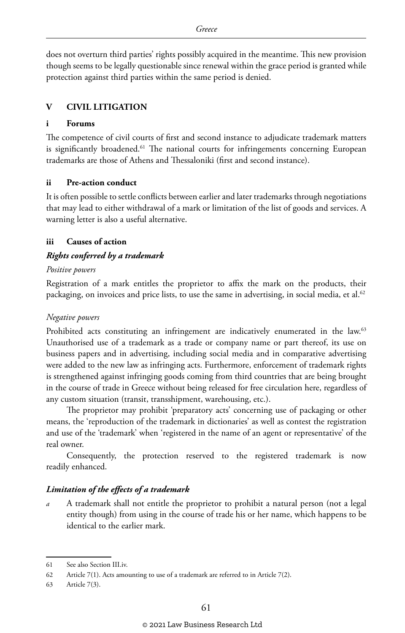does not overturn third parties' rights possibly acquired in the meantime. This new provision though seems to be legally questionable since renewal within the grace period is granted while protection against third parties within the same period is denied.

#### **V CIVIL LITIGATION**

#### **i Forums**

The competence of civil courts of first and second instance to adjudicate trademark matters is significantly broadened.<sup>61</sup> The national courts for infringements concerning European trademarks are those of Athens and Thessaloniki (first and second instance).

#### **ii Pre-action conduct**

It is often possible to settle conflicts between earlier and later trademarks through negotiations that may lead to either withdrawal of a mark or limitation of the list of goods and services. A warning letter is also a useful alternative.

#### **iii Causes of action**

#### *Rights conferred by a trademark*

#### *Positive powers*

Registration of a mark entitles the proprietor to affix the mark on the products, their packaging, on invoices and price lists, to use the same in advertising, in social media, et al.<sup>62</sup>

#### *Negative powers*

Prohibited acts constituting an infringement are indicatively enumerated in the law.<sup>63</sup> Unauthorised use of a trademark as a trade or company name or part thereof, its use on business papers and in advertising, including social media and in comparative advertising were added to the new law as infringing acts. Furthermore, enforcement of trademark rights is strengthened against infringing goods coming from third countries that are being brought in the course of trade in Greece without being released for free circulation here, regardless of any custom situation (transit, transshipment, warehousing, etc.).

The proprietor may prohibit 'preparatory acts' concerning use of packaging or other means, the 'reproduction of the trademark in dictionaries' as well as contest the registration and use of the 'trademark' when 'registered in the name of an agent or representative' of the real owner.

Consequently, the protection reserved to the registered trademark is now readily enhanced.

#### *Limitation of the effects of a trademark*

*a* A trademark shall not entitle the proprietor to prohibit a natural person (not a legal entity though) from using in the course of trade his or her name, which happens to be identical to the earlier mark.

<sup>61</sup> See also Section III.iv.

<sup>62</sup> Article 7(1). Acts amounting to use of a trademark are referred to in Article 7(2).

<sup>63</sup> Article 7(3).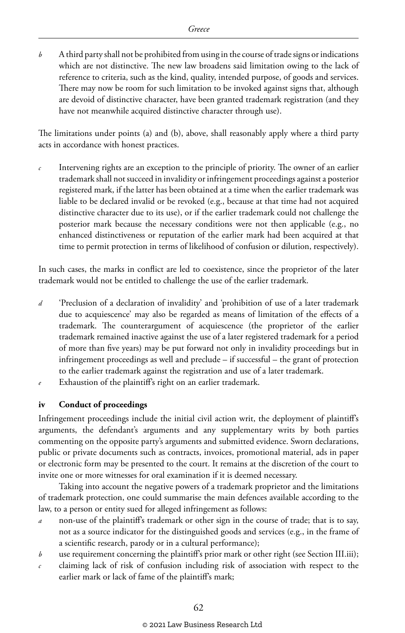*b* A third party shall not be prohibited from using in the course of trade signs or indications which are not distinctive. The new law broadens said limitation owing to the lack of reference to criteria, such as the kind, quality, intended purpose, of goods and services. There may now be room for such limitation to be invoked against signs that, although are devoid of distinctive character, have been granted trademark registration (and they have not meanwhile acquired distinctive character through use).

The limitations under points (a) and (b), above, shall reasonably apply where a third party acts in accordance with honest practices.

*c* Intervening rights are an exception to the principle of priority. The owner of an earlier trademark shall not succeed in invalidity or infringement proceedings against a posterior registered mark, if the latter has been obtained at a time when the earlier trademark was liable to be declared invalid or be revoked (e.g., because at that time had not acquired distinctive character due to its use), or if the earlier trademark could not challenge the posterior mark because the necessary conditions were not then applicable (e.g., no enhanced distinctiveness or reputation of the earlier mark had been acquired at that time to permit protection in terms of likelihood of confusion or dilution, respectively).

In such cases, the marks in conflict are led to coexistence, since the proprietor of the later trademark would not be entitled to challenge the use of the earlier trademark.

- *d* 'Preclusion of a declaration of invalidity' and 'prohibition of use of a later trademark due to acquiescence' may also be regarded as means of limitation of the effects of a trademark. The counterargument of acquiescence (the proprietor of the earlier trademark remained inactive against the use of a later registered trademark for a period of more than five years) may be put forward not only in invalidity proceedings but in infringement proceedings as well and preclude – if successful – the grant of protection to the earlier trademark against the registration and use of a later trademark.
- *e* Exhaustion of the plaintiff's right on an earlier trademark.

#### **iv Conduct of proceedings**

Infringement proceedings include the initial civil action writ, the deployment of plaintiff's arguments, the defendant's arguments and any supplementary writs by both parties commenting on the opposite party's arguments and submitted evidence. Sworn declarations, public or private documents such as contracts, invoices, promotional material, ads in paper or electronic form may be presented to the court. It remains at the discretion of the court to invite one or more witnesses for oral examination if it is deemed necessary.

Taking into account the negative powers of a trademark proprietor and the limitations of trademark protection, one could summarise the main defences available according to the law, to a person or entity sued for alleged infringement as follows:

- *a* non-use of the plaintiff's trademark or other sign in the course of trade; that is to say, not as a source indicator for the distinguished goods and services (e.g., in the frame of a scientific research, parody or in a cultural performance);
- *b* use requirement concerning the plaintiff's prior mark or other right (see Section III.iii);
- *c* claiming lack of risk of confusion including risk of association with respect to the earlier mark or lack of fame of the plaintiff's mark;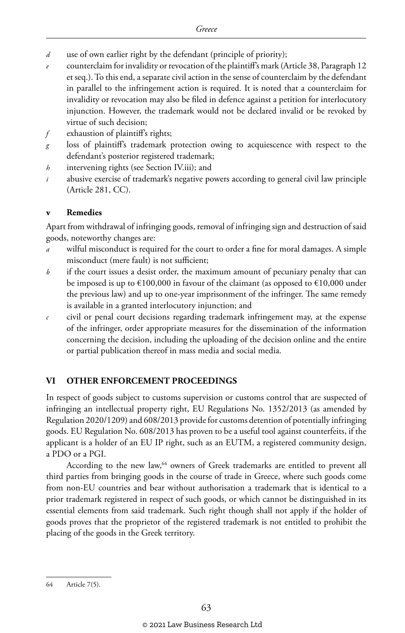- *d* use of own earlier right by the defendant (principle of priority);
- *e* counterclaim for invalidity or revocation of the plaintiff's mark (Article 38, Paragraph 12 et seq.). To this end, a separate civil action in the sense of counterclaim by the defendant in parallel to the infringement action is required. It is noted that a counterclaim for invalidity or revocation may also be filed in defence against a petition for interlocutory injunction. However, the trademark would not be declared invalid or be revoked by virtue of such decision;
- *f* exhaustion of plaintiff's rights;
- *g* loss of plaintiff's trademark protection owing to acquiescence with respect to the defendant's posterior registered trademark;
- *h* intervening rights (see Section IV.iii); and
- *i* abusive exercise of trademark's negative powers according to general civil law principle (Article 281, CC).

#### **v Remedies**

Apart from withdrawal of infringing goods, removal of infringing sign and destruction of said goods, noteworthy changes are:

- *a* wilful misconduct is required for the court to order a fine for moral damages. A simple misconduct (mere fault) is not sufficient;
- *b* if the court issues a desist order, the maximum amount of pecuniary penalty that can be imposed is up to  $\text{\textsterling}100,000$  in favour of the claimant (as opposed to  $\text{\textsterling}10,000$  under the previous law) and up to one-year imprisonment of the infringer. The same remedy is available in a granted interlocutory injunction; and
- *c* civil or penal court decisions regarding trademark infringement may, at the expense of the infringer, order appropriate measures for the dissemination of the information concerning the decision, including the uploading of the decision online and the entire or partial publication thereof in mass media and social media.

#### **VI OTHER ENFORCEMENT PROCEEDINGS**

In respect of goods subject to customs supervision or customs control that are suspected of infringing an intellectual property right, EU Regulations No. 1352/2013 (as amended by Regulation 2020/1209) and 608/2013 provide for customs detention of potentially infringing goods. EU Regulation No. 608/2013 has proven to be a useful tool against counterfeits, if the applicant is a holder of an EU IP right, such as an EUTM, a registered community design, a PDO or a PGI.

According to the new law,<sup>64</sup> owners of Greek trademarks are entitled to prevent all third parties from bringing goods in the course of trade in Greece, where such goods come from non-EU countries and bear without authorisation a trademark that is identical to a prior trademark registered in respect of such goods, or which cannot be distinguished in its essential elements from said trademark. Such right though shall not apply if the holder of goods proves that the proprietor of the registered trademark is not entitled to prohibit the placing of the goods in the Greek territory.

<sup>64</sup> Article 7(5).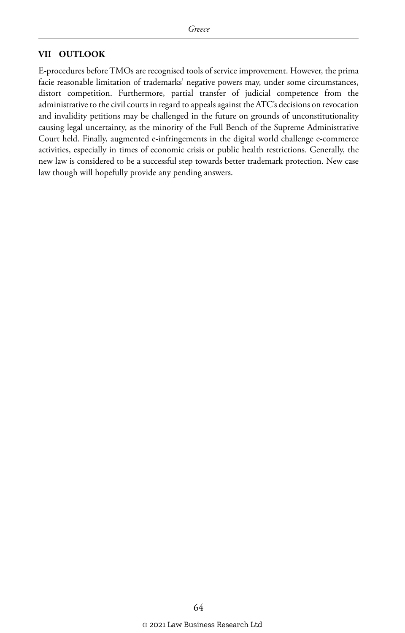#### **VII OUTLOOK**

E-procedures before TMOs are recognised tools of service improvement. However, the prima facie reasonable limitation of trademarks' negative powers may, under some circumstances, distort competition. Furthermore, partial transfer of judicial competence from the administrative to the civil courts in regard to appeals against the ATC's decisions on revocation and invalidity petitions may be challenged in the future on grounds of unconstitutionality causing legal uncertainty, as the minority of the Full Bench of the Supreme Administrative Court held. Finally, augmented e-infringements in the digital world challenge e-commerce activities, especially in times of economic crisis or public health restrictions. Generally, the new law is considered to be a successful step towards better trademark protection. New case law though will hopefully provide any pending answers.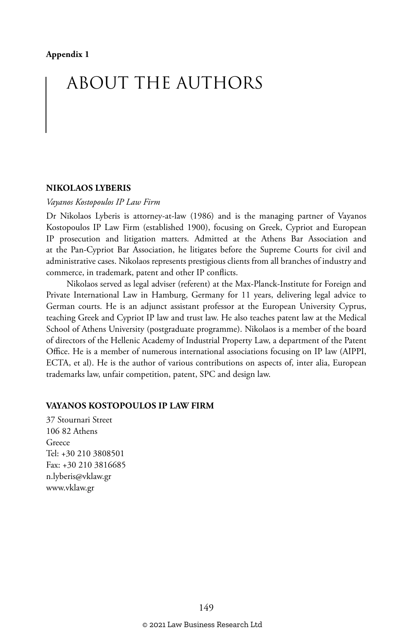# ABOUT THE AUTHORS

#### **NIKOLAOS LYBERIS**

#### *Vayanos Kostopoulos IP Law Firm*

Dr Nikolaos Lyberis is attorney-at-law (1986) and is the managing partner of Vayanos Kostopoulos IP Law Firm (established 1900), focusing on Greek, Cypriot and European IP prosecution and litigation matters. Admitted at the Athens Bar Association and at the Pan-Cypriot Bar Association, he litigates before the Supreme Courts for civil and administrative cases. Nikolaos represents prestigious clients from all branches of industry and commerce, in trademark, patent and other IP conflicts.

Nikolaos served as legal adviser (referent) at the Max-Planck-Institute for Foreign and Private International Law in Hamburg, Germany for 11 years, delivering legal advice to German courts. He is an adjunct assistant professor at the European University Cyprus, teaching Greek and Cypriot IP law and trust law. He also teaches patent law at the Medical School of Athens University (postgraduate programme). Nikolaos is a member of the board of directors of the Hellenic Academy of Industrial Property Law, a department of the Patent Office. He is a member of numerous international associations focusing on IP law (AIPPI, ECTA, et al). He is the author of various contributions on aspects of, inter alia, European trademarks law, unfair competition, patent, SPC and design law.

#### **VAYANOS KOSTOPOULOS IP LAW FIRM**

37 Stournari Street 106 82 Athens Greece Tel: +30 210 3808501 Fax: +30 210 3816685 n.lyberis@vklaw.gr www.vklaw.gr